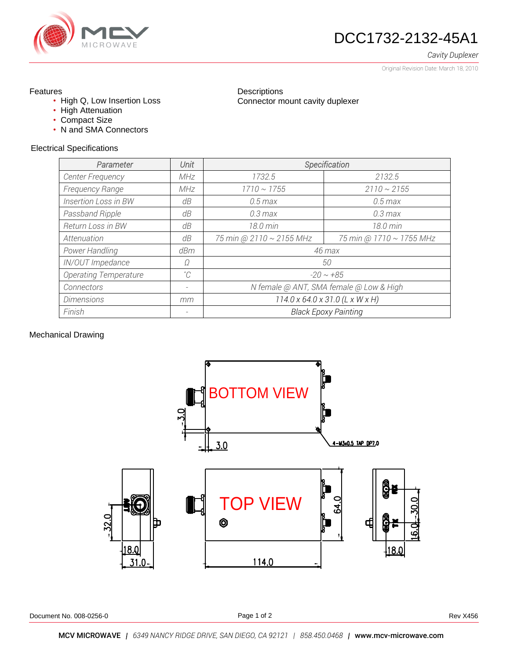

# DCC1732-2132-45A1

*Cavity Duplexer*

Original Revision Date: March 18, 2010

## Features

- High Q, Low Insertion Loss
- High Attenuation
- Compact Size
- N and SMA Connectors

#### Electrical Specifications

| Parameter                    | Unit        | Specification                               |                          |  |  |  |
|------------------------------|-------------|---------------------------------------------|--------------------------|--|--|--|
| <b>Center Frequency</b>      | MHz         | 1732.5                                      | 2132.5                   |  |  |  |
| Frequency Range              | <b>MHz</b>  | $1710 \sim 1755$                            | $2110 \sim 2155$         |  |  |  |
| Insertion Loss in BW         | dB          | $0.5$ max                                   | $0.5$ max                |  |  |  |
| Passband Ripple              | dB          | $0.3 \text{ max}$                           | $0.3 \text{ max}$        |  |  |  |
| Return Loss in BW            | dB          | 18.0 min                                    | 18.0 min                 |  |  |  |
| Attenuation                  | dB          | 75 min @ 2110 ~ 2155 MHz                    | 75 min @ 1710 ~ 1755 MHz |  |  |  |
| Power Handling               | dBm         | 46 max                                      |                          |  |  |  |
| IN/OUT Impedance             | Ω           | 50                                          |                          |  |  |  |
| <b>Operating Temperature</b> | $^{\circ}C$ | $-20 \sim +85$                              |                          |  |  |  |
| Connectors                   |             | N female @ ANT, SMA female @ Low & High     |                          |  |  |  |
| <b>Dimensions</b>            | mm          | $114.0 \times 64.0 \times 31.0$ (L x W x H) |                          |  |  |  |
| Finish                       |             | <b>Black Epoxy Painting</b>                 |                          |  |  |  |

**Descriptions** 

Connector mount cavity duplexer

### Mechanical Drawing



Document No. 008-0256-0 **Rev X456** Rev X456

Page 1 of 2